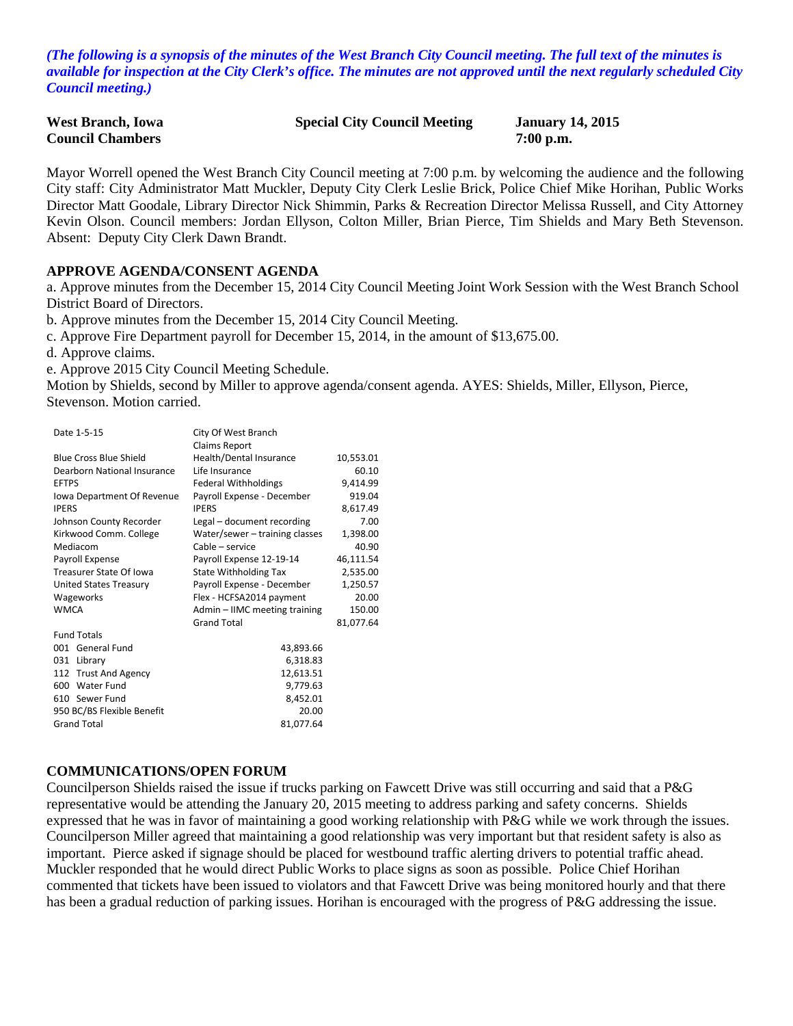*(The following is a synopsis of the minutes of the West Branch City Council meeting. The full text of the minutes is available for inspection at the City Clerk's office. The minutes are not approved until the next regularly scheduled City Council meeting.)*

| <b>West Branch, Iowa</b> | <b>Special City Council Meeting</b> | <b>January 14, 2015</b> |
|--------------------------|-------------------------------------|-------------------------|
| <b>Council Chambers</b>  |                                     | $7:00$ p.m.             |

Mayor Worrell opened the West Branch City Council meeting at 7:00 p.m. by welcoming the audience and the following City staff: City Administrator Matt Muckler, Deputy City Clerk Leslie Brick, Police Chief Mike Horihan, Public Works Director Matt Goodale, Library Director Nick Shimmin, Parks & Recreation Director Melissa Russell, and City Attorney Kevin Olson. Council members: Jordan Ellyson, Colton Miller, Brian Pierce, Tim Shields and Mary Beth Stevenson. Absent: Deputy City Clerk Dawn Brandt.

#### **APPROVE AGENDA/CONSENT AGENDA**

a. Approve minutes from the December 15, 2014 City Council Meeting Joint Work Session with the West Branch School District Board of Directors.

b. Approve minutes from the December 15, 2014 City Council Meeting.

City Of West Branch

c. Approve Fire Department payroll for December 15, 2014, in the amount of \$13,675.00.

d. Approve claims.

e. Approve 2015 City Council Meeting Schedule.

Motion by Shields, second by Miller to approve agenda/consent agenda. AYES: Shields, Miller, Ellyson, Pierce, Stevenson. Motion carried.

|                               | <b>Claims Report</b>           |           |  |
|-------------------------------|--------------------------------|-----------|--|
| <b>Blue Cross Blue Shield</b> | Health/Dental Insurance        | 10,553.01 |  |
| Dearborn National Insurance   | Life Insurance                 | 60.10     |  |
| <b>EFTPS</b>                  | <b>Federal Withholdings</b>    | 9,414.99  |  |
| lowa Department Of Revenue    | Payroll Expense - December     | 919.04    |  |
| <b>IPERS</b>                  | <b>IPERS</b>                   | 8,617.49  |  |
| Johnson County Recorder       | Legal – document recording     | 7.00      |  |
| Kirkwood Comm. College        | Water/sewer - training classes | 1,398.00  |  |
| Mediacom                      | Cable – service                | 40.90     |  |
| Payroll Expense               | Payroll Expense 12-19-14       | 46,111.54 |  |
| Treasurer State Of Iowa       | <b>State Withholding Tax</b>   | 2,535.00  |  |
| United States Treasury        | Payroll Expense - December     | 1,250.57  |  |
| Wageworks                     | Flex - HCFSA2014 payment       | 20.00     |  |
| <b>WMCA</b>                   | Admin - IIMC meeting training  | 150.00    |  |
|                               | <b>Grand Total</b>             | 81,077.64 |  |
| <b>Fund Totals</b>            |                                |           |  |
| 001 General Fund              | 43,893.66                      |           |  |
| 031 Library                   | 6,318.83                       |           |  |
| 112 Trust And Agency          | 12,613.51                      |           |  |
| Water Fund<br>600             | 9,779.63                       |           |  |
| 610 Sewer Fund                | 8,452.01                       |           |  |
| 950 BC/BS Flexible Benefit    | 20.00                          |           |  |
| <b>Grand Total</b>            | 81,077.64                      |           |  |

#### **COMMUNICATIONS/OPEN FORUM**

Councilperson Shields raised the issue if trucks parking on Fawcett Drive was still occurring and said that a P&G representative would be attending the January 20, 2015 meeting to address parking and safety concerns. Shields expressed that he was in favor of maintaining a good working relationship with P&G while we work through the issues. Councilperson Miller agreed that maintaining a good relationship was very important but that resident safety is also as important. Pierce asked if signage should be placed for westbound traffic alerting drivers to potential traffic ahead. Muckler responded that he would direct Public Works to place signs as soon as possible. Police Chief Horihan commented that tickets have been issued to violators and that Fawcett Drive was being monitored hourly and that there has been a gradual reduction of parking issues. Horihan is encouraged with the progress of P&G addressing the issue.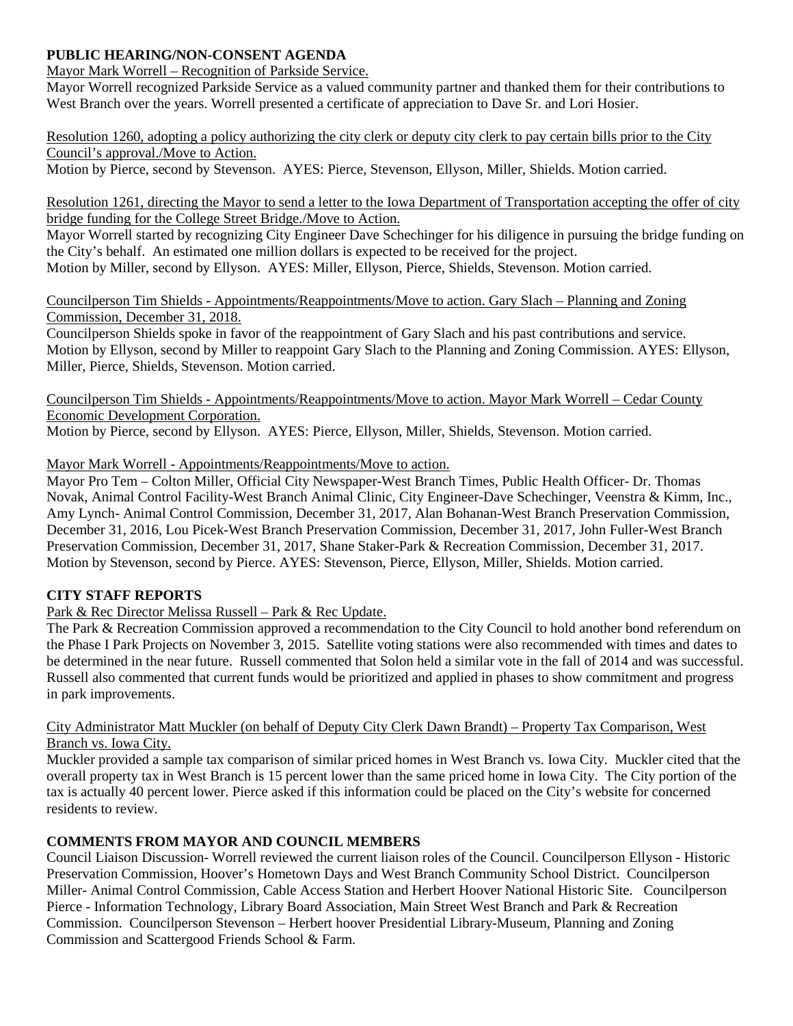## **PUBLIC HEARING/NON-CONSENT AGENDA**

Mayor Mark Worrell – Recognition of Parkside Service.

Mayor Worrell recognized Parkside Service as a valued community partner and thanked them for their contributions to West Branch over the years. Worrell presented a certificate of appreciation to Dave Sr. and Lori Hosier.

Resolution 1260, adopting a policy authorizing the city clerk or deputy city clerk to pay certain bills prior to the City Council's approval./Move to Action.

Motion by Pierce, second by Stevenson. AYES: Pierce, Stevenson, Ellyson, Miller, Shields. Motion carried.

Resolution 1261, directing the Mayor to send a letter to the Iowa Department of Transportation accepting the offer of city bridge funding for the College Street Bridge./Move to Action.

Mayor Worrell started by recognizing City Engineer Dave Schechinger for his diligence in pursuing the bridge funding on the City's behalf. An estimated one million dollars is expected to be received for the project. Motion by Miller, second by Ellyson. AYES: Miller, Ellyson, Pierce, Shields, Stevenson. Motion carried.

Councilperson Tim Shields - Appointments/Reappointments/Move to action. Gary Slach – Planning and Zoning Commission, December 31, 2018.

Councilperson Shields spoke in favor of the reappointment of Gary Slach and his past contributions and service. Motion by Ellyson, second by Miller to reappoint Gary Slach to the Planning and Zoning Commission. AYES: Ellyson, Miller, Pierce, Shields, Stevenson. Motion carried.

Councilperson Tim Shields - Appointments/Reappointments/Move to action. Mayor Mark Worrell – Cedar County Economic Development Corporation.

Motion by Pierce, second by Ellyson. AYES: Pierce, Ellyson, Miller, Shields, Stevenson. Motion carried.

Mayor Mark Worrell - Appointments/Reappointments/Move to action.

Mayor Pro Tem – Colton Miller, Official City Newspaper-West Branch Times, Public Health Officer- Dr. Thomas Novak, Animal Control Facility-West Branch Animal Clinic, City Engineer-Dave Schechinger, Veenstra & Kimm, Inc., Amy Lynch- Animal Control Commission, December 31, 2017, Alan Bohanan-West Branch Preservation Commission, December 31, 2016, Lou Picek-West Branch Preservation Commission, December 31, 2017, John Fuller-West Branch Preservation Commission, December 31, 2017, Shane Staker-Park & Recreation Commission, December 31, 2017. Motion by Stevenson, second by Pierce. AYES: Stevenson, Pierce, Ellyson, Miller, Shields. Motion carried.

### **CITY STAFF REPORTS**

Park & Rec Director Melissa Russell – Park & Rec Update.

The Park & Recreation Commission approved a recommendation to the City Council to hold another bond referendum on the Phase I Park Projects on November 3, 2015. Satellite voting stations were also recommended with times and dates to be determined in the near future. Russell commented that Solon held a similar vote in the fall of 2014 and was successful. Russell also commented that current funds would be prioritized and applied in phases to show commitment and progress in park improvements.

#### City Administrator Matt Muckler (on behalf of Deputy City Clerk Dawn Brandt) – Property Tax Comparison, West Branch vs. Iowa City.

Muckler provided a sample tax comparison of similar priced homes in West Branch vs. Iowa City. Muckler cited that the overall property tax in West Branch is 15 percent lower than the same priced home in Iowa City. The City portion of the tax is actually 40 percent lower. Pierce asked if this information could be placed on the City's website for concerned residents to review.

### **COMMENTS FROM MAYOR AND COUNCIL MEMBERS**

Council Liaison Discussion- Worrell reviewed the current liaison roles of the Council. Councilperson Ellyson - Historic Preservation Commission, Hoover's Hometown Days and West Branch Community School District. Councilperson Miller- Animal Control Commission, Cable Access Station and Herbert Hoover National Historic Site. Councilperson Pierce - Information Technology, Library Board Association, Main Street West Branch and Park & Recreation Commission. Councilperson Stevenson – Herbert hoover Presidential Library-Museum, Planning and Zoning Commission and Scattergood Friends School & Farm.